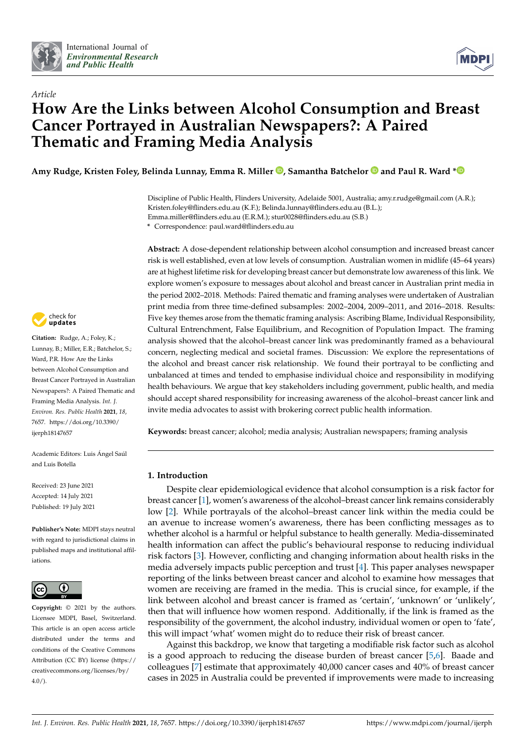



# *Article* **How Are the Links between Alcohol Consumption and Breast Cancer Portrayed in Australian Newspapers?: A Paired Thematic and Framing Media Analysis**

**Amy Rudge, Kristen Foley, Belinda Lunnay, Emma R. Miller [,](https://orcid.org/0000-0002-6373-5720) Samantha Batchelor and Paul R. Ward [\\*](https://orcid.org/0000-0002-5559-9714)**

Discipline of Public Health, Flinders University, Adelaide 5001, Australia; amy.r.rudge@gmail.com (A.R.); Kristen.foley@flinders.edu.au (K.F.); Belinda.lunnay@flinders.edu.au (B.L.); Emma.miller@flinders.edu.au (E.R.M.); stur0028@flinders.edu.au (S.B.)

**\*** Correspondence: paul.ward@flinders.edu.au

**Abstract:** A dose-dependent relationship between alcohol consumption and increased breast cancer risk is well established, even at low levels of consumption. Australian women in midlife (45–64 years) are at highest lifetime risk for developing breast cancer but demonstrate low awareness of this link. We explore women's exposure to messages about alcohol and breast cancer in Australian print media in the period 2002–2018. Methods: Paired thematic and framing analyses were undertaken of Australian print media from three time-defined subsamples: 2002–2004, 2009–2011, and 2016–2018. Results: Five key themes arose from the thematic framing analysis: Ascribing Blame, Individual Responsibility, Cultural Entrenchment, False Equilibrium, and Recognition of Population Impact. The framing analysis showed that the alcohol–breast cancer link was predominantly framed as a behavioural concern, neglecting medical and societal frames. Discussion: We explore the representations of the alcohol and breast cancer risk relationship. We found their portrayal to be conflicting and unbalanced at times and tended to emphasise individual choice and responsibility in modifying health behaviours. We argue that key stakeholders including government, public health, and media should accept shared responsibility for increasing awareness of the alcohol–breast cancer link and invite media advocates to assist with brokering correct public health information.

**Keywords:** breast cancer; alcohol; media analysis; Australian newspapers; framing analysis

## **1. Introduction**

Despite clear epidemiological evidence that alcohol consumption is a risk factor for breast cancer [\[1\]](#page-15-0), women's awareness of the alcohol–breast cancer link remains considerably low [\[2\]](#page-15-1). While portrayals of the alcohol–breast cancer link within the media could be an avenue to increase women's awareness, there has been conflicting messages as to whether alcohol is a harmful or helpful substance to health generally. Media-disseminated health information can affect the public's behavioural response to reducing individual risk factors [\[3\]](#page-15-2). However, conflicting and changing information about health risks in the media adversely impacts public perception and trust [\[4\]](#page-15-3). This paper analyses newspaper reporting of the links between breast cancer and alcohol to examine how messages that women are receiving are framed in the media. This is crucial since, for example, if the link between alcohol and breast cancer is framed as 'certain', 'unknown' or 'unlikely', then that will influence how women respond. Additionally, if the link is framed as the responsibility of the government, the alcohol industry, individual women or open to 'fate', this will impact 'what' women might do to reduce their risk of breast cancer.

Against this backdrop, we know that targeting a modifiable risk factor such as alcohol is a good approach to reducing the disease burden of breast cancer [\[5,](#page-15-4)[6\]](#page-15-5). Baade and colleagues [\[7\]](#page-15-6) estimate that approximately 40,000 cancer cases and 40% of breast cancer cases in 2025 in Australia could be prevented if improvements were made to increasing



**Citation:** Rudge, A.; Foley, K.; Lunnay, B.; Miller, E.R.; Batchelor, S.; Ward, P.R. How Are the Links between Alcohol Consumption and Breast Cancer Portrayed in Australian Newspapers?: A Paired Thematic and Framing Media Analysis. *Int. J. Environ. Res. Public Health* **2021**, *18*, 7657. [https://doi.org/10.3390/](https://doi.org/10.3390/ijerph18147657) [ijerph18147657](https://doi.org/10.3390/ijerph18147657)

Academic Editors: Luis Ángel Saúl and Luis Botella

Received: 23 June 2021 Accepted: 14 July 2021 Published: 19 July 2021

**Publisher's Note:** MDPI stays neutral with regard to jurisdictional claims in published maps and institutional affiliations.



**Copyright:** © 2021 by the authors. Licensee MDPI, Basel, Switzerland. This article is an open access article distributed under the terms and conditions of the Creative Commons Attribution (CC BY) license (https:/[/](https://creativecommons.org/licenses/by/4.0/) [creativecommons.org/licenses/by/](https://creativecommons.org/licenses/by/4.0/)  $4.0/$ ).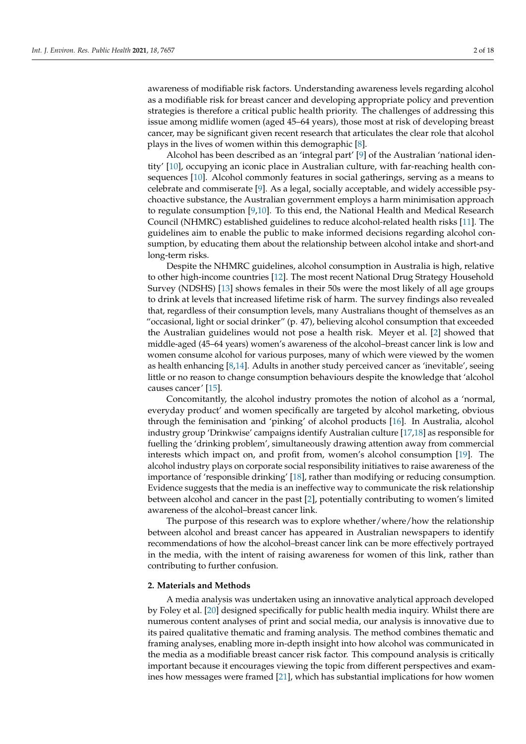awareness of modifiable risk factors. Understanding awareness levels regarding alcohol as a modifiable risk for breast cancer and developing appropriate policy and prevention strategies is therefore a critical public health priority. The challenges of addressing this issue among midlife women (aged 45–64 years), those most at risk of developing breast cancer, may be significant given recent research that articulates the clear role that alcohol plays in the lives of women within this demographic [\[8\]](#page-15-7).

Alcohol has been described as an 'integral part' [\[9\]](#page-15-8) of the Australian 'national identity' [\[10\]](#page-15-9), occupying an iconic place in Australian culture, with far-reaching health consequences [\[10\]](#page-15-9). Alcohol commonly features in social gatherings, serving as a means to celebrate and commiserate [\[9\]](#page-15-8). As a legal, socially acceptable, and widely accessible psychoactive substance, the Australian government employs a harm minimisation approach to regulate consumption [\[9,](#page-15-8)[10\]](#page-15-9). To this end, the National Health and Medical Research Council (NHMRC) established guidelines to reduce alcohol-related health risks [\[11\]](#page-16-0). The guidelines aim to enable the public to make informed decisions regarding alcohol consumption, by educating them about the relationship between alcohol intake and short-and long-term risks.

Despite the NHMRC guidelines, alcohol consumption in Australia is high, relative to other high-income countries [\[12\]](#page-16-1). The most recent National Drug Strategy Household Survey (NDSHS) [\[13\]](#page-16-2) shows females in their 50s were the most likely of all age groups to drink at levels that increased lifetime risk of harm. The survey findings also revealed that, regardless of their consumption levels, many Australians thought of themselves as an "occasional, light or social drinker" (p. 47), believing alcohol consumption that exceeded the Australian guidelines would not pose a health risk. Meyer et al. [\[2\]](#page-15-1) showed that middle-aged (45–64 years) women's awareness of the alcohol–breast cancer link is low and women consume alcohol for various purposes, many of which were viewed by the women as health enhancing [\[8,](#page-15-7)[14\]](#page-16-3). Adults in another study perceived cancer as 'inevitable', seeing little or no reason to change consumption behaviours despite the knowledge that 'alcohol causes cancer' [\[15\]](#page-16-4).

Concomitantly, the alcohol industry promotes the notion of alcohol as a 'normal, everyday product' and women specifically are targeted by alcohol marketing, obvious through the feminisation and 'pinking' of alcohol products [\[16\]](#page-16-5). In Australia, alcohol industry group 'Drinkwise' campaigns identify Australian culture [\[17](#page-16-6)[,18\]](#page-16-7) as responsible for fuelling the 'drinking problem', simultaneously drawing attention away from commercial interests which impact on, and profit from, women's alcohol consumption [\[19\]](#page-16-8). The alcohol industry plays on corporate social responsibility initiatives to raise awareness of the importance of 'responsible drinking' [\[18\]](#page-16-7), rather than modifying or reducing consumption. Evidence suggests that the media is an ineffective way to communicate the risk relationship between alcohol and cancer in the past [\[2\]](#page-15-1), potentially contributing to women's limited awareness of the alcohol–breast cancer link.

The purpose of this research was to explore whether/where/how the relationship between alcohol and breast cancer has appeared in Australian newspapers to identify recommendations of how the alcohol–breast cancer link can be more effectively portrayed in the media, with the intent of raising awareness for women of this link, rather than contributing to further confusion.

## **2. Materials and Methods**

A media analysis was undertaken using an innovative analytical approach developed by Foley et al. [\[20\]](#page-16-9) designed specifically for public health media inquiry. Whilst there are numerous content analyses of print and social media, our analysis is innovative due to its paired qualitative thematic and framing analysis. The method combines thematic and framing analyses, enabling more in-depth insight into how alcohol was communicated in the media as a modifiable breast cancer risk factor. This compound analysis is critically important because it encourages viewing the topic from different perspectives and examines how messages were framed [\[21\]](#page-16-10), which has substantial implications for how women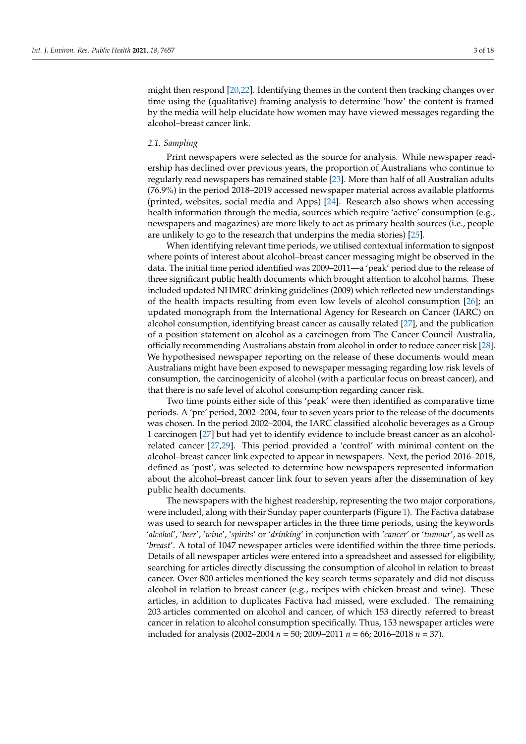might then respond [\[20,](#page-16-9)[22\]](#page-16-11). Identifying themes in the content then tracking changes over time using the (qualitative) framing analysis to determine 'how' the content is framed by the media will help elucidate how women may have viewed messages regarding the alcohol–breast cancer link.

#### *2.1. Sampling*

Print newspapers were selected as the source for analysis. While newspaper readership has declined over previous years, the proportion of Australians who continue to regularly read newspapers has remained stable [\[23\]](#page-16-12). More than half of all Australian adults (76.9%) in the period 2018–2019 accessed newspaper material across available platforms (printed, websites, social media and Apps) [\[24\]](#page-16-13). Research also shows when accessing health information through the media, sources which require 'active' consumption (e.g., newspapers and magazines) are more likely to act as primary health sources (i.e., people are unlikely to go to the research that underpins the media stories) [\[25\]](#page-16-14).

When identifying relevant time periods, we utilised contextual information to signpost where points of interest about alcohol–breast cancer messaging might be observed in the data. The initial time period identified was 2009–2011—a 'peak' period due to the release of three significant public health documents which brought attention to alcohol harms. These included updated NHMRC drinking guidelines (2009) which reflected new understandings of the health impacts resulting from even low levels of alcohol consumption [\[26\]](#page-16-15); an updated monograph from the International Agency for Research on Cancer (IARC) on alcohol consumption, identifying breast cancer as causally related [\[27\]](#page-16-16), and the publication of a position statement on alcohol as a carcinogen from The Cancer Council Australia, officially recommending Australians abstain from alcohol in order to reduce cancer risk [\[28\]](#page-16-17). We hypothesised newspaper reporting on the release of these documents would mean Australians might have been exposed to newspaper messaging regarding low risk levels of consumption, the carcinogenicity of alcohol (with a particular focus on breast cancer), and that there is no safe level of alcohol consumption regarding cancer risk.

Two time points either side of this 'peak' were then identified as comparative time periods. A 'pre' period, 2002–2004, four to seven years prior to the release of the documents was chosen. In the period 2002–2004, the IARC classified alcoholic beverages as a Group 1 carcinogen [\[27\]](#page-16-16) but had yet to identify evidence to include breast cancer as an alcoholrelated cancer [\[27](#page-16-16)[,29\]](#page-16-18). This period provided a 'control' with minimal content on the alcohol–breast cancer link expected to appear in newspapers. Next, the period 2016–2018, defined as 'post', was selected to determine how newspapers represented information about the alcohol–breast cancer link four to seven years after the dissemination of key public health documents.

The newspapers with the highest readership, representing the two major corporations, were included, along with their Sunday paper counterparts (Figure [1\)](#page-3-0). The Factiva database was used to search for newspaper articles in the three time periods, using the keywords '*alcohol*', '*beer*', '*wine*', '*spirits*' or '*drinking*' in conjunction with '*cancer*' or '*tumour*', as well as '*breast*'. A total of 1047 newspaper articles were identified within the three time periods. Details of all newspaper articles were entered into a spreadsheet and assessed for eligibility, searching for articles directly discussing the consumption of alcohol in relation to breast cancer. Over 800 articles mentioned the key search terms separately and did not discuss alcohol in relation to breast cancer (e.g., recipes with chicken breast and wine). These articles, in addition to duplicates Factiva had missed, were excluded. The remaining 203 articles commented on alcohol and cancer, of which 153 directly referred to breast cancer in relation to alcohol consumption specifically. Thus, 153 newspaper articles were included for analysis (2002–2004 *n* = 50; 2009–2011 *n* = 66; 2016–2018 *n* = 37).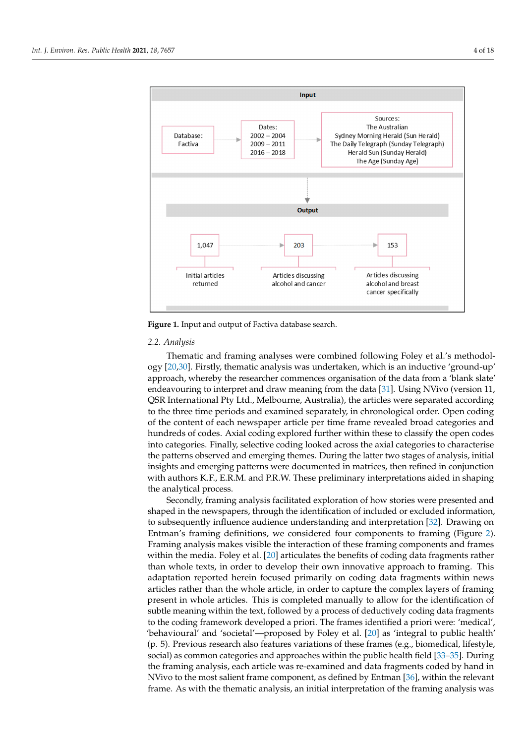<span id="page-3-0"></span>

**Figure 1.** Input and output of Factiva database search. **Figure 1.** Input and output of Factiva database search.

# *2.2. Analysis 2.2. Analysis*

Thematic and framing analyses were combined following Foley et al.'s methodol-ogy [\[20,](#page-16-9)[30\]](#page-16-19). Firstly, thematic analysis was undertaken, which is an inductive 'ground-up' proach, whereby the researcher commences organisation of the data from a 'blank slate' approach, whereby the researcher commences organisation of the data from a 'blank slate' endeavouring to interpret and draw meaning from the data [\[31\]](#page-16-20). Using NVivo (version 11, QSR International Pty Ltd., Melbourne, Australia), the articles were separated according to the three time periods and examined separately, in chronological order. Open coding of the content of each newspaper article per time frame revealed broad categories and hundreds of codes. Axial coding explored further within these to classify the open codes hundreds of codes. Axial coding explored further within these to classify the open codes into categories. Finally, selective coding looked across the axial categories to characterise into categories. Finally, selective coding looked across the axial categories to characterise the patterns observed and emerging themes. During the latter two stages of analysis, initial the latter two stages of analysis, initial insights and emerging patterns were documented in matrices, then refined in conjunction<br>in the star FRM of PRM Then the star in the star in the star in the star in the star in the star in the star i with authors K.F., E.R.M. and P.R.W. These preliminary interpretations aided in shaping<br>' the analytical process.

the analytical process. Secondly, framing analysis facilitated exploration of how stories were presented and Secondly, framing analysis facilitated exploration of how stories were presented and shaped in the newspapers, through the identification of included or excluded information, shaped in the newspapers, through the identification of included or excluded information, to subsequently influence audience understanding and interpretation [\[32\]](#page-16-21). Drawing on to subsequently influence audience understanding and interpretation [32]. Drawing on Entman's framing definitions, we considered four components to framing (Figure [2\)](#page-4-0). Entman's framing definitions, we considered four components to framing (Figure 2). Framing analysis makes visible the interaction of these framing components and frames Framing analysis makes visible the interaction of these framing components and frames within the media. Foley et al. [\[20\]](#page-16-9) articulates the benefits of coding data fragments rather within the media. Foley et al. [20] articulates the benefits of coding data fragments rather than whole texts, in order to develop their own innovative approach to framing. This adaptation reported herein focused primarily on coding data fragments within news articles rather than the whole article, in order to capture the complex layers of framing present in whole articles. This is completed manually to allow for the identification of n<br>subtle meaning within the text, followed by a process of deductively coding data fragments to the coding framework developed a priori. The frames identified a priori were: 'medical', 'behavioural' and 'societal'—proposed by Foley et al. [\[20\]](#page-16-9) as 'integral to public health' (p. 5). Previous research also features variations of these frames (e.g., biomedical, lifestyle, social) as common categories and approaches within the public health field [\[33](#page-16-22)[–35\]](#page-16-23). During the framing analysis, each article was re-examined and data fragments coded by hand in NVivo to the most salient frame component, as defined by Entman [\[36\]](#page-16-24), within the relevant frame. As with the thematic analysis, an initial interpretation of the framing analysis was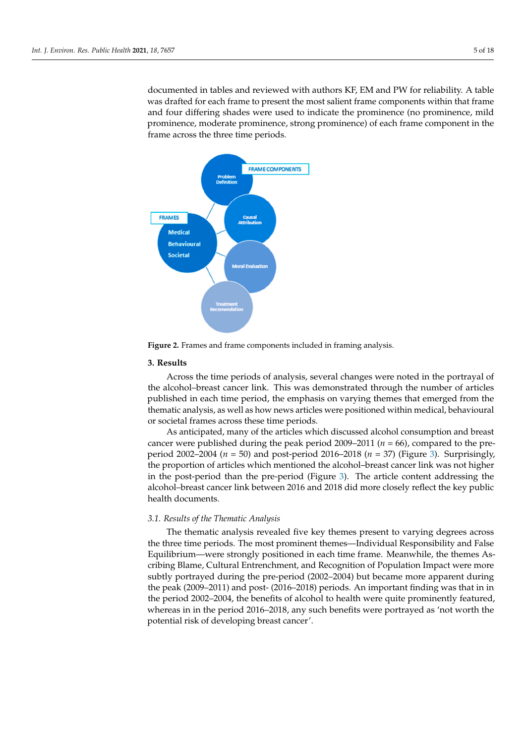documented in tables and reviewed with authors KF, EM and PW for reliability. A table was drafted for each frame to present the most salient frame components within that frame and four differing shades were used to indicate the prominence (no prominence, mild prominence, moderate prominence, strong prominence) of each frame component in the frame across the three time periods.

vant frame. As with the thematic analysis, and in initial interpretation of the frame  $\alpha$ 

<span id="page-4-0"></span>

**Figure 2.** Frames and frame components included in framing analysis.

#### **Figure 2.** Frames and frame components included in framing analysis. **3. Results**

Across the time periods of analysis, several changes were noted in the portrayal of published in each time period, the emphasis on varying themes that emerged from the thematic analysis, as well as how news articles were positioned within medical, behavioural or societal frames across these time periods. the alcohol–breast cancer link. This was demonstrated through the number of articles

As anticipated, many of the articles which discussed alcohol consumption and breast cancer were published during the peak period  $2009-2011$  ( $n = 66$ ), compared to the preperiod 2002–2004 (*n* = 50) and post-period 2016–2018 (*n* = 37) (Figure [3\)](#page-5-0). Surprisingly, the proportion of articles which mentioned the alcohol–breast cancer link was not higher<br>the proportion of although mentioned (*Figure 2*). The price cancer although the proportion period that the pre-period (*n* gate *s*). The antele content during the<br>alcohol-broast-cancor link botwoon 2016 and 2018 did more closely reflect the key public alcohol–breast cancer link between 2016 and 2018 did more closely reflect the key public<br>health documents in the post-period than the pre-period (Figure [3\)](#page-5-0). The article content addressing the health documents.

# 3.1. Results of the Thematic Analysis *3.1.*

The thematic analysis revealed five key themes present to varying degrees across the three time periods. The most prominent themes—Individual Responsibility and False Equilibrium—were strongly positioned in each time frame. Meanwhile, the themes Ascribing Blame, Cultural Entrenchment, and Recognition of Population Impact were more subtly portrayed during the pre-period (2002–2004) but became more apparent during the peak (2009–2011) and post- (2016–2018) periods. An important finding was that in in the period 2002–2004, the benefits of alcohol to health were quite prominently featured, whereas in in the period 2016–2018, any such benefits were portrayed as 'not worth the potential risk of developing breast cancer'.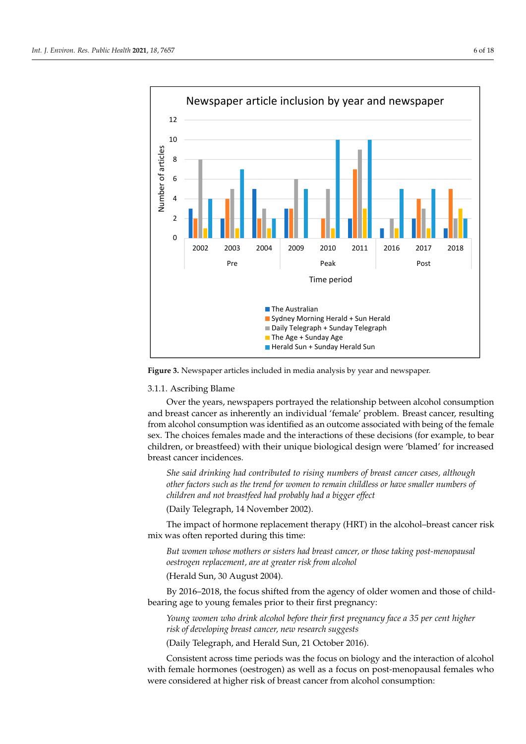<span id="page-5-0"></span>

**Figure 3.** Newspaper articles included in media analysis by year and newspaper. **Figure 3.** Newspaper articles included in media analysis by year and newspaper.

# *3.1. Results of the Thematic Analysis*  3.1.1. Ascribing Blame

Over the years, newspapers portrayed the relationship between alcohol consumption and breast cancer as inherently an individual 'female' problem. Breast cancer, resulting from alcohol consumption was identified as an outcome associated with being of the female sex. The choices females made and the interactions of these decisions (for example, to bear children, or breastfeed) with their unique biological design were 'blamed' for increased<br>. breast cancer incidences.

She said drinking had contributed to rising numbers of breast cancer cases, although other factors such as the trend for women to remain childless or have smaller numbers of potential risk of developing breast cancer'. *children and not breastfeed had probably had a bigger effect*

(Daily Telegraph, 14 November 2002).

 $\frac{3}{2}$ .1. Ascribing Blames Blames Blames Blames Blames Blames Blames Blames Blames Blames Blames Blames Blames Blames Blames Blames Blames Blames Blames Blames Blames Blames Blames Blames Blames Blames Blames Blames Bl The impact of hormone replacement therapy (HRT) in the alcohol–breast cancer risk<br>was often reported during this time: and breast cancer as individual  $\beta$ mix was often reported during this time:

But women whose mothers or sisters had breast cancer, or those taking post-menopausal male sex. The choices females made and the interactions of these decisions (for example, *oestrogen replacement, are at greater risk from alcohol*

(Herald Sun, 30 August 2004). With the in-

By 2016–2018, the focus shifted from the agency of older women and those of child-*She said drinking had contributed to rising numbers of breast cancer cases, although*  bearing age to young females prior to their first pregnancy:

*other factors such as the trend for women to remain childless or have smaller numbers Young women who drink alcohol before their first pregnancy face a 35 per cent higher of contention and and acceler effect* (Daily Telegraphy, 14 component of probability had a bigger effectively find the content of developing breast cancer, new research suggests  $\frac{1}{2}$   $\frac{1}{2}$ .

 $T_{\text{max}}$  impact of hormone replacement the algebra  $T_{\text{max}}$  is the alcohol–breast cancer risk cancer risk cancer risk cancer risk cancer risk cancer risk cancer risk cancer risk cancer risk cancer risk cancer risk cance (Daily Telegraph, and Herald Sun, 21 October 2016).

Consistent across time periods was the focus on biology and the interaction of alcohol with female hormones (oestrogen) as well as a focus on post-menopausal females who<br>were exacted and at high arrively of has at an one from also had consumption. were considered at higher risk of breast cancer from alcohol consumption:<br>.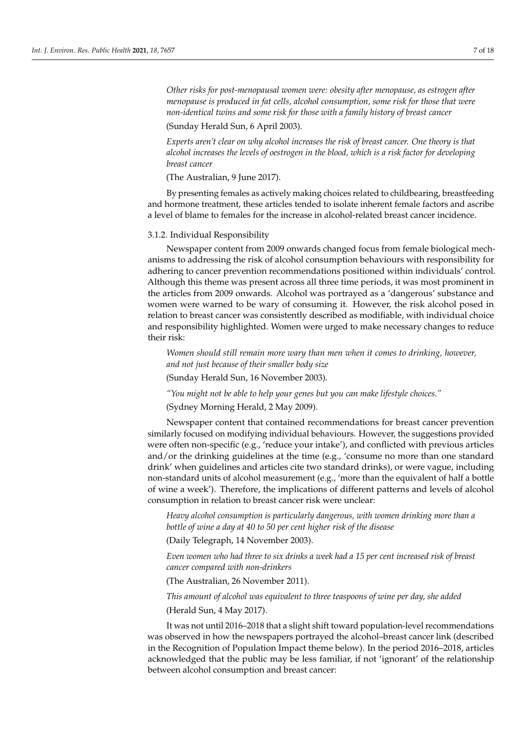*Other risks for post-menopausal women were: obesity after menopause, as estrogen after menopause is produced in fat cells, alcohol consumption, some risk for those that were non-identical twins and some risk for those with a family history of breast cancer*

(Sunday Herald Sun, 6 April 2003).

*Experts aren't clear on why alcohol increases the risk of breast cancer. One theory is that alcohol increases the levels of oestrogen in the blood, which is a risk factor for developing breast cancer*

(The Australian, 9 June 2017).

By presenting females as actively making choices related to childbearing, breastfeeding and hormone treatment, these articles tended to isolate inherent female factors and ascribe a level of blame to females for the increase in alcohol-related breast cancer incidence.

#### 3.1.2. Individual Responsibility

Newspaper content from 2009 onwards changed focus from female biological mechanisms to addressing the risk of alcohol consumption behaviours with responsibility for adhering to cancer prevention recommendations positioned within individuals' control. Although this theme was present across all three time periods, it was most prominent in the articles from 2009 onwards. Alcohol was portrayed as a 'dangerous' substance and women were warned to be wary of consuming it. However, the risk alcohol posed in relation to breast cancer was consistently described as modifiable, with individual choice and responsibility highlighted. Women were urged to make necessary changes to reduce their risk:

*Women should still remain more wary than men when it comes to drinking, however, and not just because of their smaller body size*

(Sunday Herald Sun, 16 November 2003).

*"You might not be able to help your genes but you can make lifestyle choices."*

(Sydney Morning Herald, 2 May 2009).

Newspaper content that contained recommendations for breast cancer prevention similarly focused on modifying individual behaviours. However, the suggestions provided were often non-specific (e.g., 'reduce your intake'), and conflicted with previous articles and/or the drinking guidelines at the time (e.g., 'consume no more than one standard drink' when guidelines and articles cite two standard drinks), or were vague, including non-standard units of alcohol measurement (e.g., 'more than the equivalent of half a bottle of wine a week'). Therefore, the implications of different patterns and levels of alcohol consumption in relation to breast cancer risk were unclear:

*Heavy alcohol consumption is particularly dangerous, with women drinking more than a bottle of wine a day at 40 to 50 per cent higher risk of the disease*

(Daily Telegraph, 14 November 2003).

*Even women who had three to six drinks a week had a 15 per cent increased risk of breast cancer compared with non-drinkers*

(The Australian, 26 November 2011).

*This amount of alcohol was equivalent to three teaspoons of wine per day, she added* (Herald Sun, 4 May 2017).

It was not until 2016–2018 that a slight shift toward population-level recommendations was observed in how the newspapers portrayed the alcohol–breast cancer link (described in the Recognition of Population Impact theme below). In the period 2016–2018, articles acknowledged that the public may be less familiar, if not 'ignorant' of the relationship between alcohol consumption and breast cancer: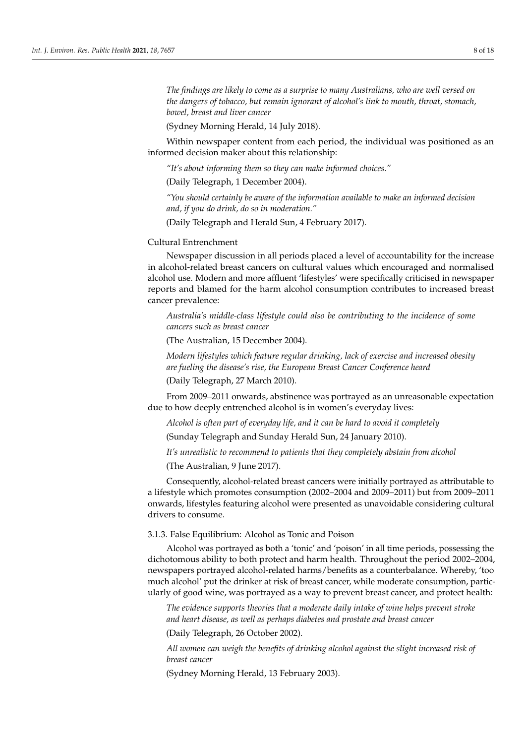*The findings are likely to come as a surprise to many Australians, who are well versed on the dangers of tobacco, but remain ignorant of alcohol's link to mouth, throat, stomach, bowel, breast and liver cancer*

(Sydney Morning Herald, 14 July 2018).

Within newspaper content from each period, the individual was positioned as an informed decision maker about this relationship:

*"It's about informing them so they can make informed choices."*

(Daily Telegraph, 1 December 2004).

*"You should certainly be aware of the information available to make an informed decision and, if you do drink, do so in moderation."*

(Daily Telegraph and Herald Sun, 4 February 2017).

## Cultural Entrenchment

Newspaper discussion in all periods placed a level of accountability for the increase in alcohol-related breast cancers on cultural values which encouraged and normalised alcohol use. Modern and more affluent 'lifestyles' were specifically criticised in newspaper reports and blamed for the harm alcohol consumption contributes to increased breast cancer prevalence:

*Australia's middle-class lifestyle could also be contributing to the incidence of some cancers such as breast cancer*

(The Australian, 15 December 2004).

*Modern lifestyles which feature regular drinking, lack of exercise and increased obesity are fueling the disease's rise, the European Breast Cancer Conference heard* (Daily Telegraph, 27 March 2010).

From 2009–2011 onwards, abstinence was portrayed as an unreasonable expectation due to how deeply entrenched alcohol is in women's everyday lives:

*Alcohol is often part of everyday life, and it can be hard to avoid it completely*

(Sunday Telegraph and Sunday Herald Sun, 24 January 2010).

*It's unrealistic to recommend to patients that they completely abstain from alcohol*

(The Australian, 9 June 2017).

Consequently, alcohol-related breast cancers were initially portrayed as attributable to a lifestyle which promotes consumption (2002–2004 and 2009–2011) but from 2009–2011 onwards, lifestyles featuring alcohol were presented as unavoidable considering cultural drivers to consume.

## 3.1.3. False Equilibrium: Alcohol as Tonic and Poison

Alcohol was portrayed as both a 'tonic' and 'poison' in all time periods, possessing the dichotomous ability to both protect and harm health. Throughout the period 2002–2004, newspapers portrayed alcohol-related harms/benefits as a counterbalance. Whereby, 'too much alcohol' put the drinker at risk of breast cancer, while moderate consumption, particularly of good wine, was portrayed as a way to prevent breast cancer, and protect health:

*The evidence supports theories that a moderate daily intake of wine helps prevent stroke and heart disease, as well as perhaps diabetes and prostate and breast cancer*

(Daily Telegraph, 26 October 2002).

*All women can weigh the benefits of drinking alcohol against the slight increased risk of breast cancer*

(Sydney Morning Herald, 13 February 2003).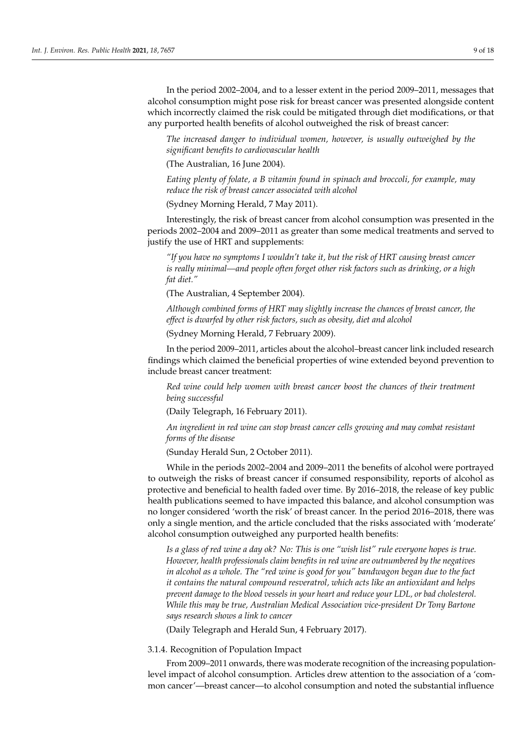In the period 2002–2004, and to a lesser extent in the period 2009–2011, messages that alcohol consumption might pose risk for breast cancer was presented alongside content which incorrectly claimed the risk could be mitigated through diet modifications, or that any purported health benefits of alcohol outweighed the risk of breast cancer:

*The increased danger to individual women, however, is usually outweighed by the significant benefits to cardiovascular health*

(The Australian, 16 June 2004).

*Eating plenty of folate, a B vitamin found in spinach and broccoli, for example, may reduce the risk of breast cancer associated with alcohol*

(Sydney Morning Herald, 7 May 2011).

Interestingly, the risk of breast cancer from alcohol consumption was presented in the periods 2002–2004 and 2009–2011 as greater than some medical treatments and served to justify the use of HRT and supplements:

*"If you have no symptoms I wouldn't take it, but the risk of HRT causing breast cancer is really minimal—and people often forget other risk factors such as drinking, or a high fat diet."*

(The Australian, 4 September 2004).

*Although combined forms of HRT may slightly increase the chances of breast cancer, the effect is dwarfed by other risk factors, such as obesity, diet and alcohol*

(Sydney Morning Herald, 7 February 2009).

In the period 2009–2011, articles about the alcohol–breast cancer link included research findings which claimed the beneficial properties of wine extended beyond prevention to include breast cancer treatment:

*Red wine could help women with breast cancer boost the chances of their treatment being successful*

(Daily Telegraph, 16 February 2011).

*An ingredient in red wine can stop breast cancer cells growing and may combat resistant forms of the disease*

(Sunday Herald Sun, 2 October 2011).

While in the periods 2002–2004 and 2009–2011 the benefits of alcohol were portrayed to outweigh the risks of breast cancer if consumed responsibility, reports of alcohol as protective and beneficial to health faded over time. By 2016–2018, the release of key public health publications seemed to have impacted this balance, and alcohol consumption was no longer considered 'worth the risk' of breast cancer. In the period 2016–2018, there was only a single mention, and the article concluded that the risks associated with 'moderate' alcohol consumption outweighed any purported health benefits:

*Is a glass of red wine a day ok? No: This is one "wish list" rule everyone hopes is true. However, health professionals claim benefits in red wine are outnumbered by the negatives in alcohol as a whole. The "red wine is good for you" bandwagon began due to the fact it contains the natural compound resveratrol, which acts like an antioxidant and helps prevent damage to the blood vessels in your heart and reduce your LDL, or bad cholesterol. While this may be true, Australian Medical Association vice-president Dr Tony Bartone says research shows a link to cancer*

(Daily Telegraph and Herald Sun, 4 February 2017).

3.1.4. Recognition of Population Impact

From 2009–2011 onwards, there was moderate recognition of the increasing populationlevel impact of alcohol consumption. Articles drew attention to the association of a 'common cancer'—breast cancer—to alcohol consumption and noted the substantial influence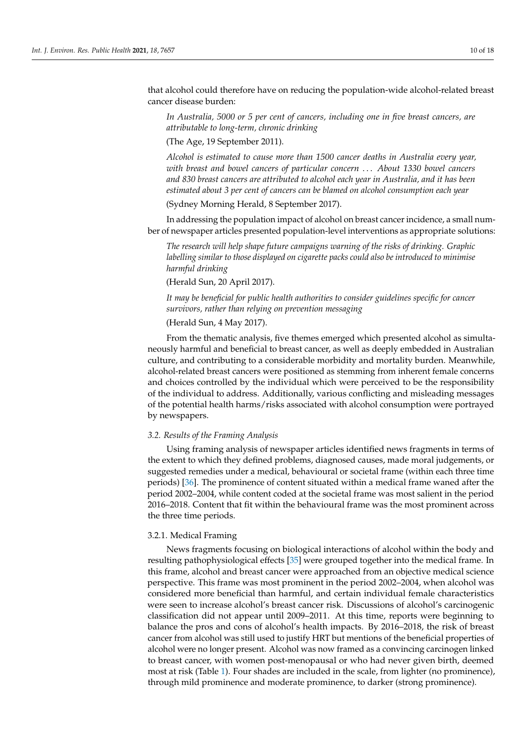that alcohol could therefore have on reducing the population-wide alcohol-related breast cancer disease burden:

*In Australia, 5000 or 5 per cent of cancers, including one in five breast cancers, are attributable to long-term, chronic drinking*

(The Age, 19 September 2011).

*Alcohol is estimated to cause more than 1500 cancer deaths in Australia every year, with breast and bowel cancers of particular concern* . . . *About 1330 bowel cancers and 830 breast cancers are attributed to alcohol each year in Australia, and it has been estimated about 3 per cent of cancers can be blamed on alcohol consumption each year*

(Sydney Morning Herald, 8 September 2017).

In addressing the population impact of alcohol on breast cancer incidence, a small number of newspaper articles presented population-level interventions as appropriate solutions:

*The research will help shape future campaigns warning of the risks of drinking. Graphic labelling similar to those displayed on cigarette packs could also be introduced to minimise harmful drinking*

(Herald Sun, 20 April 2017).

*It may be beneficial for public health authorities to consider guidelines specific for cancer survivors, rather than relying on prevention messaging*

(Herald Sun, 4 May 2017).

From the thematic analysis, five themes emerged which presented alcohol as simultaneously harmful and beneficial to breast cancer, as well as deeply embedded in Australian culture, and contributing to a considerable morbidity and mortality burden. Meanwhile, alcohol-related breast cancers were positioned as stemming from inherent female concerns and choices controlled by the individual which were perceived to be the responsibility of the individual to address. Additionally, various conflicting and misleading messages of the potential health harms/risks associated with alcohol consumption were portrayed by newspapers.

## *3.2. Results of the Framing Analysis*

Using framing analysis of newspaper articles identified news fragments in terms of the extent to which they defined problems, diagnosed causes, made moral judgements, or suggested remedies under a medical, behavioural or societal frame (within each three time periods) [\[36\]](#page-16-24). The prominence of content situated within a medical frame waned after the period 2002–2004, while content coded at the societal frame was most salient in the period 2016–2018. Content that fit within the behavioural frame was the most prominent across the three time periods.

## 3.2.1. Medical Framing

News fragments focusing on biological interactions of alcohol within the body and resulting pathophysiological effects [\[35\]](#page-16-23) were grouped together into the medical frame. In this frame, alcohol and breast cancer were approached from an objective medical science perspective. This frame was most prominent in the period 2002–2004, when alcohol was considered more beneficial than harmful, and certain individual female characteristics were seen to increase alcohol's breast cancer risk. Discussions of alcohol's carcinogenic classification did not appear until 2009–2011. At this time, reports were beginning to balance the pros and cons of alcohol's health impacts. By 2016–2018, the risk of breast cancer from alcohol was still used to justify HRT but mentions of the beneficial properties of alcohol were no longer present. Alcohol was now framed as a convincing carcinogen linked to breast cancer, with women post-menopausal or who had never given birth, deemed most at risk (Table [1\)](#page-10-0). Four shades are included in the scale, from lighter (no prominence), through mild prominence and moderate prominence, to darker (strong prominence).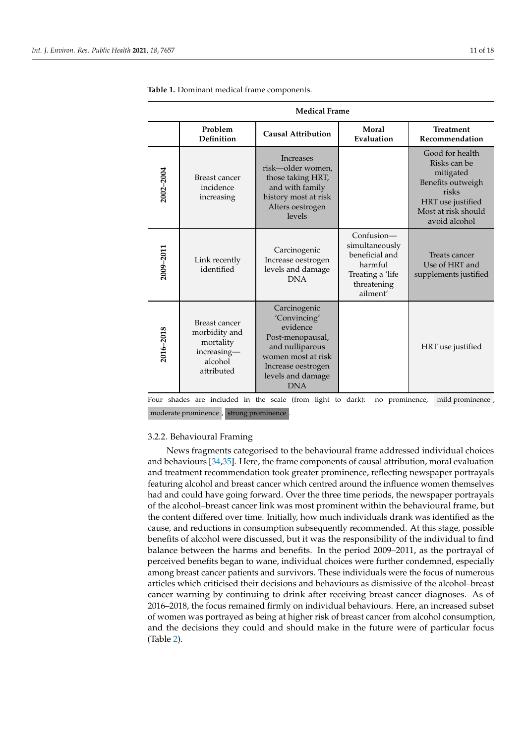| <b>Medical Frame</b> |                                                                                     |                                                                                                                                                                |                                                                                                            |                                                                                                                                         |  |  |  |
|----------------------|-------------------------------------------------------------------------------------|----------------------------------------------------------------------------------------------------------------------------------------------------------------|------------------------------------------------------------------------------------------------------------|-----------------------------------------------------------------------------------------------------------------------------------------|--|--|--|
|                      | Problem<br><b>Definition</b>                                                        | <b>Causal Attribution</b>                                                                                                                                      | Moral<br>Evaluation                                                                                        | <b>Treatment</b><br>Recommendation                                                                                                      |  |  |  |
| 2002-2004            | Breast cancer<br>incidence<br>increasing                                            | <b>Increases</b><br>risk-older women,<br>those taking HRT,<br>and with family<br>history most at risk<br>Alters oestrogen<br>levels                            |                                                                                                            | Good for health<br>Risks can be<br>mitigated<br>Benefits outweigh<br>risks<br>HRT use justified<br>Most at risk should<br>avoid alcohol |  |  |  |
| 2009-2011            | Link recently<br>identified                                                         | Carcinogenic<br>Increase oestrogen<br>levels and damage<br><b>DNA</b>                                                                                          | $Confusion-$<br>simultaneously<br>beneficial and<br>harmful<br>Treating a 'life<br>threatening<br>ailment' | Treats cancer<br>Use of HRT and<br>supplements justified                                                                                |  |  |  |
| 2016-2018            | Breast cancer<br>morbidity and<br>mortality<br>increasing-<br>alcohol<br>attributed | Carcinogenic<br>'Convincing'<br>evidence<br>Post-menopausal,<br>and nulliparous<br>women most at risk<br>Increase oestrogen<br>levels and damage<br><b>DNA</b> |                                                                                                            | HRT use justified                                                                                                                       |  |  |  |

<span id="page-10-0"></span>**Table 1.** Dominant medical frame components.

Four shades are included in the scale (from light to dark): no prominence, mild prominence, moderate prominence , strong prominence .

## 3.2.2. Behavioural Framing

News fragments categorised to the behavioural frame addressed individual choices and behaviours [\[34,](#page-16-25)[35\]](#page-16-23). Here, the frame components of causal attribution, moral evaluation and treatment recommendation took greater prominence, reflecting newspaper portrayals featuring alcohol and breast cancer which centred around the influence women themselves had and could have going forward. Over the three time periods, the newspaper portrayals of the alcohol–breast cancer link was most prominent within the behavioural frame, but the content differed over time. Initially, how much individuals drank was identified as the cause, and reductions in consumption subsequently recommended. At this stage, possible benefits of alcohol were discussed, but it was the responsibility of the individual to find balance between the harms and benefits. In the period 2009–2011, as the portrayal of perceived benefits began to wane, individual choices were further condemned, especially among breast cancer patients and survivors. These individuals were the focus of numerous articles which criticised their decisions and behaviours as dismissive of the alcohol–breast cancer warning by continuing to drink after receiving breast cancer diagnoses. As of 2016–2018, the focus remained firmly on individual behaviours. Here, an increased subset of women was portrayed as being at higher risk of breast cancer from alcohol consumption, and the decisions they could and should make in the future were of particular focus (Table [2\)](#page-11-0).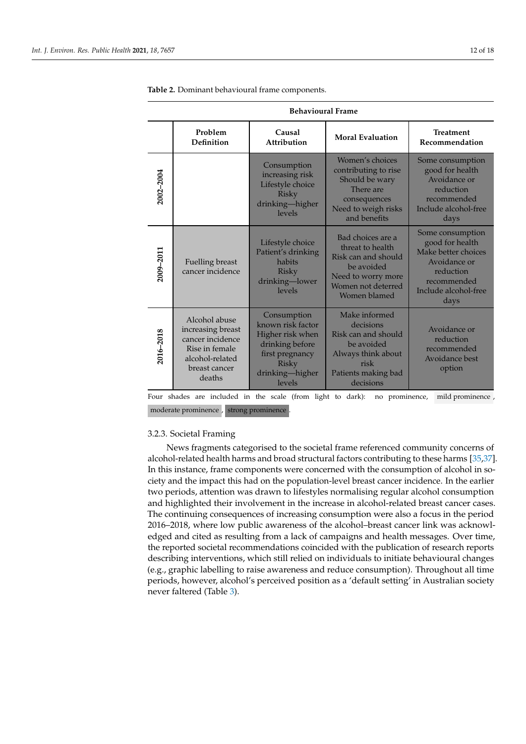| <b>Behavioural Frame</b> |                                                                                                                        |                                                                                                                                         |                                                                                                                                        |                                                                                                                                        |  |  |
|--------------------------|------------------------------------------------------------------------------------------------------------------------|-----------------------------------------------------------------------------------------------------------------------------------------|----------------------------------------------------------------------------------------------------------------------------------------|----------------------------------------------------------------------------------------------------------------------------------------|--|--|
|                          | Problem<br><b>Definition</b>                                                                                           | Causal<br>Attribution                                                                                                                   | <b>Moral Evaluation</b>                                                                                                                | <b>Treatment</b><br>Recommendation                                                                                                     |  |  |
| 2002-2004                |                                                                                                                        | Consumption<br>increasing risk<br>Lifestyle choice<br>Risky<br>drinking-higher<br>levels                                                | Women's choices<br>contributing to rise<br>Should be wary<br>There are<br>consequences<br>Need to weigh risks<br>and benefits          | Some consumption<br>good for health<br>Avoidance or<br>reduction<br>recommended<br>Include alcohol-free<br>days                        |  |  |
| 2009-2011                | Fuelling breast<br>cancer incidence                                                                                    | Lifestyle choice<br>Patient's drinking<br>habits<br><b>Risky</b><br>drinking-lower<br>levels                                            | Bad choices are a<br>threat to health<br>Risk can and should<br>be avoided<br>Need to worry more<br>Women not deterred<br>Women blamed | Some consumption<br>good for health<br>Make better choices<br>Avoidance or<br>reduction<br>recommended<br>Include alcohol-free<br>days |  |  |
| 2016-2018                | Alcohol abuse<br>increasing breast<br>cancer incidence<br>Rise in female<br>alcohol-related<br>breast cancer<br>deaths | Consumption<br>known risk factor<br>Higher risk when<br>drinking before<br>first pregnancy<br><b>Risky</b><br>drinking-higher<br>levels | Make informed<br>decisions<br>Risk can and should<br>be avoided<br>Always think about<br>risk<br>Patients making bad<br>decisions      | Avoidance or<br>reduction<br>recommended<br>Avoidance best<br>option                                                                   |  |  |

<span id="page-11-0"></span>**Table 2.** Dominant behavioural frame components.

Four shades are included in the scale (from light to dark): no prominence, mild prominence, moderate prominence , strong prominence .

## 3.2.3. Societal Framing

News fragments categorised to the societal frame referenced community concerns of alcohol-related health harms and broad structural factors contributing to these harms [\[35](#page-16-23)[,37\]](#page-16-26). In this instance, frame components were concerned with the consumption of alcohol in society and the impact this had on the population-level breast cancer incidence. In the earlier two periods, attention was drawn to lifestyles normalising regular alcohol consumption and highlighted their involvement in the increase in alcohol-related breast cancer cases. The continuing consequences of increasing consumption were also a focus in the period 2016–2018, where low public awareness of the alcohol–breast cancer link was acknowledged and cited as resulting from a lack of campaigns and health messages. Over time, the reported societal recommendations coincided with the publication of research reports describing interventions, which still relied on individuals to initiate behavioural changes (e.g., graphic labelling to raise awareness and reduce consumption). Throughout all time periods, however, alcohol's perceived position as a 'default setting' in Australian society never faltered (Table [3\)](#page-12-0).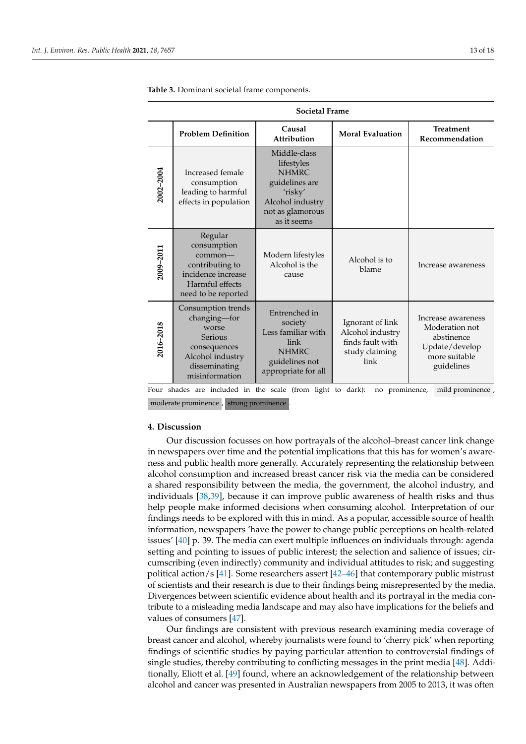| <b>Societal Frame</b> |                                                                                                                               |                                                                                                                                |                                                                                    |                                                                                                     |  |  |
|-----------------------|-------------------------------------------------------------------------------------------------------------------------------|--------------------------------------------------------------------------------------------------------------------------------|------------------------------------------------------------------------------------|-----------------------------------------------------------------------------------------------------|--|--|
|                       | <b>Problem Definition</b>                                                                                                     | Causal<br>Attribution                                                                                                          | <b>Moral Evaluation</b>                                                            | <b>Treatment</b><br>Recommendation                                                                  |  |  |
| 2002-2004             | Increased female<br>consumption<br>leading to harmful<br>effects in population                                                | Middle-class<br>lifestyles<br><b>NHMRC</b><br>guidelines are<br>'risky'<br>Alcohol industry<br>not as glamorous<br>as it seems |                                                                                    |                                                                                                     |  |  |
| 2009-2011             | Regular<br>consumption<br>$common-$<br>contributing to<br>incidence increase<br>Harmful effects<br>need to be reported        | Modern lifestyles<br>Alcohol is the<br>cause                                                                                   | Alcohol is to<br>blame                                                             | Increase awareness                                                                                  |  |  |
| 2016-2018             | Consumption trends<br>changing-for<br>worse<br>Serious<br>consequences<br>Alcohol industry<br>disseminating<br>misinformation | Entrenched in<br>society<br>Less familiar with<br>link<br><b>NHMRC</b><br>guidelines not<br>appropriate for all                | Ignorant of link<br>Alcohol industry<br>finds fault with<br>study claiming<br>link | Increase awareness<br>Moderation not<br>abstinence<br>Update/develop<br>more suitable<br>guidelines |  |  |

<span id="page-12-0"></span>**Table 3.** Dominant societal frame components.

Four shades are included in the scale (from light to dark): no prominence, mild prominence, moderate prominence , strong prominence .

## **4. Discussion**

Our discussion focusses on how portrayals of the alcohol–breast cancer link change in newspapers over time and the potential implications that this has for women's awareness and public health more generally. Accurately representing the relationship between alcohol consumption and increased breast cancer risk via the media can be considered a shared responsibility between the media, the government, the alcohol industry, and individuals [\[38,](#page-16-27)[39\]](#page-17-0), because it can improve public awareness of health risks and thus help people make informed decisions when consuming alcohol. Interpretation of our findings needs to be explored with this in mind. As a popular, accessible source of health information, newspapers 'have the power to change public perceptions on health-related issues' [\[40\]](#page-17-1) p. 39. The media can exert multiple influences on individuals through: agenda setting and pointing to issues of public interest; the selection and salience of issues; circumscribing (even indirectly) community and individual attitudes to risk; and suggesting political action/s [\[41\]](#page-17-2). Some researchers assert [\[42–](#page-17-3)[46\]](#page-17-4) that contemporary public mistrust of scientists and their research is due to their findings being misrepresented by the media. Divergences between scientific evidence about health and its portrayal in the media contribute to a misleading media landscape and may also have implications for the beliefs and values of consumers [\[47\]](#page-17-5).

Our findings are consistent with previous research examining media coverage of breast cancer and alcohol, whereby journalists were found to 'cherry pick' when reporting findings of scientific studies by paying particular attention to controversial findings of single studies, thereby contributing to conflicting messages in the print media [\[48\]](#page-17-6). Additionally, Eliott et al. [\[49\]](#page-17-7) found, where an acknowledgement of the relationship between alcohol and cancer was presented in Australian newspapers from 2005 to 2013, it was often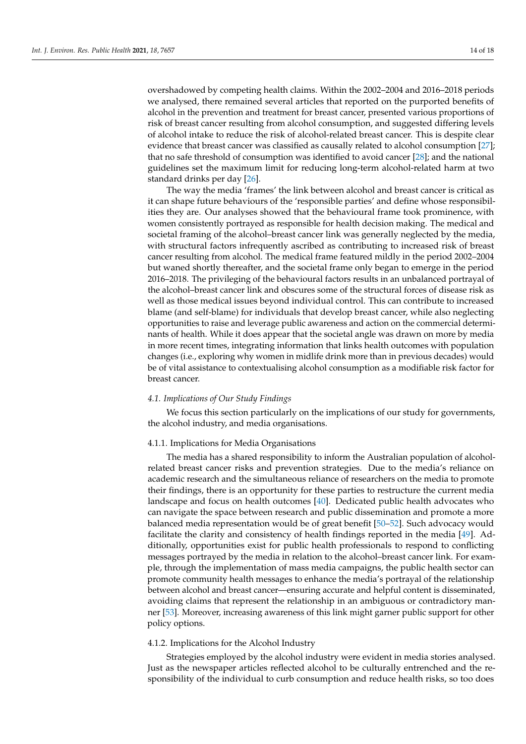overshadowed by competing health claims. Within the 2002–2004 and 2016–2018 periods we analysed, there remained several articles that reported on the purported benefits of alcohol in the prevention and treatment for breast cancer, presented various proportions of risk of breast cancer resulting from alcohol consumption, and suggested differing levels of alcohol intake to reduce the risk of alcohol-related breast cancer. This is despite clear evidence that breast cancer was classified as causally related to alcohol consumption [\[27\]](#page-16-16); that no safe threshold of consumption was identified to avoid cancer [\[28\]](#page-16-17); and the national guidelines set the maximum limit for reducing long-term alcohol-related harm at two standard drinks per day [\[26\]](#page-16-15).

The way the media 'frames' the link between alcohol and breast cancer is critical as it can shape future behaviours of the 'responsible parties' and define whose responsibilities they are. Our analyses showed that the behavioural frame took prominence, with women consistently portrayed as responsible for health decision making. The medical and societal framing of the alcohol–breast cancer link was generally neglected by the media, with structural factors infrequently ascribed as contributing to increased risk of breast cancer resulting from alcohol. The medical frame featured mildly in the period 2002–2004 but waned shortly thereafter, and the societal frame only began to emerge in the period 2016–2018. The privileging of the behavioural factors results in an unbalanced portrayal of the alcohol–breast cancer link and obscures some of the structural forces of disease risk as well as those medical issues beyond individual control. This can contribute to increased blame (and self-blame) for individuals that develop breast cancer, while also neglecting opportunities to raise and leverage public awareness and action on the commercial determinants of health. While it does appear that the societal angle was drawn on more by media in more recent times, integrating information that links health outcomes with population changes (i.e., exploring why women in midlife drink more than in previous decades) would be of vital assistance to contextualising alcohol consumption as a modifiable risk factor for breast cancer.

## *4.1. Implications of Our Study Findings*

We focus this section particularly on the implications of our study for governments, the alcohol industry, and media organisations.

## 4.1.1. Implications for Media Organisations

The media has a shared responsibility to inform the Australian population of alcoholrelated breast cancer risks and prevention strategies. Due to the media's reliance on academic research and the simultaneous reliance of researchers on the media to promote their findings, there is an opportunity for these parties to restructure the current media landscape and focus on health outcomes [\[40\]](#page-17-1). Dedicated public health advocates who can navigate the space between research and public dissemination and promote a more balanced media representation would be of great benefit [\[50](#page-17-8)[–52\]](#page-17-9). Such advocacy would facilitate the clarity and consistency of health findings reported in the media [\[49\]](#page-17-7). Additionally, opportunities exist for public health professionals to respond to conflicting messages portrayed by the media in relation to the alcohol–breast cancer link. For example, through the implementation of mass media campaigns, the public health sector can promote community health messages to enhance the media's portrayal of the relationship between alcohol and breast cancer—ensuring accurate and helpful content is disseminated, avoiding claims that represent the relationship in an ambiguous or contradictory manner [\[53\]](#page-17-10). Moreover, increasing awareness of this link might garner public support for other policy options.

## 4.1.2. Implications for the Alcohol Industry

Strategies employed by the alcohol industry were evident in media stories analysed. Just as the newspaper articles reflected alcohol to be culturally entrenched and the responsibility of the individual to curb consumption and reduce health risks, so too does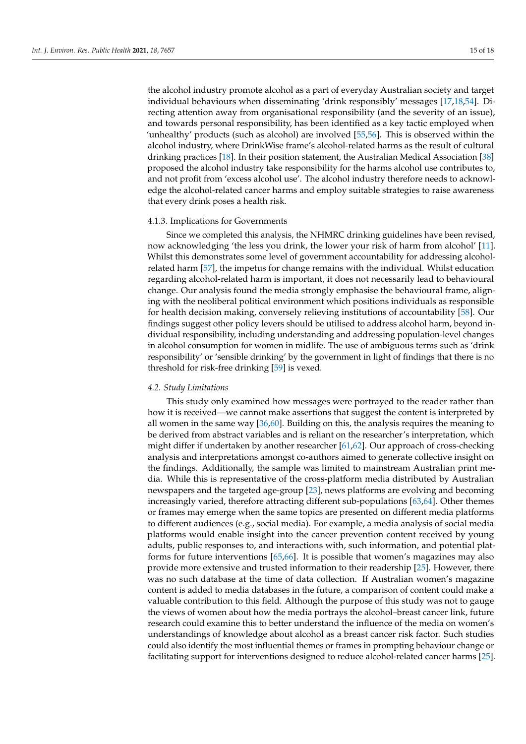the alcohol industry promote alcohol as a part of everyday Australian society and target individual behaviours when disseminating 'drink responsibly' messages [\[17,](#page-16-6)[18,](#page-16-7)[54\]](#page-17-11). Directing attention away from organisational responsibility (and the severity of an issue), and towards personal responsibility, has been identified as a key tactic employed when 'unhealthy' products (such as alcohol) are involved [\[55](#page-17-12)[,56\]](#page-17-13). This is observed within the alcohol industry, where DrinkWise frame's alcohol-related harms as the result of cultural drinking practices [\[18\]](#page-16-7). In their position statement, the Australian Medical Association [\[38\]](#page-16-27) proposed the alcohol industry take responsibility for the harms alcohol use contributes to, and not profit from 'excess alcohol use'. The alcohol industry therefore needs to acknowledge the alcohol-related cancer harms and employ suitable strategies to raise awareness that every drink poses a health risk.

## 4.1.3. Implications for Governments

Since we completed this analysis, the NHMRC drinking guidelines have been revised, now acknowledging 'the less you drink, the lower your risk of harm from alcohol' [\[11\]](#page-16-0). Whilst this demonstrates some level of government accountability for addressing alcoholrelated harm [\[57\]](#page-17-14), the impetus for change remains with the individual. Whilst education regarding alcohol-related harm is important, it does not necessarily lead to behavioural change. Our analysis found the media strongly emphasise the behavioural frame, aligning with the neoliberal political environment which positions individuals as responsible for health decision making, conversely relieving institutions of accountability [\[58\]](#page-17-15). Our findings suggest other policy levers should be utilised to address alcohol harm, beyond individual responsibility, including understanding and addressing population-level changes in alcohol consumption for women in midlife. The use of ambiguous terms such as 'drink responsibility' or 'sensible drinking' by the government in light of findings that there is no threshold for risk-free drinking [\[59\]](#page-17-16) is vexed.

## *4.2. Study Limitations*

This study only examined how messages were portrayed to the reader rather than how it is received—we cannot make assertions that suggest the content is interpreted by all women in the same way [\[36,](#page-16-24)[60\]](#page-17-17). Building on this, the analysis requires the meaning to be derived from abstract variables and is reliant on the researcher's interpretation, which might differ if undertaken by another researcher [\[61,](#page-17-18)[62\]](#page-17-19). Our approach of cross-checking analysis and interpretations amongst co-authors aimed to generate collective insight on the findings. Additionally, the sample was limited to mainstream Australian print media. While this is representative of the cross-platform media distributed by Australian newspapers and the targeted age-group [\[23\]](#page-16-12), news platforms are evolving and becoming increasingly varied, therefore attracting different sub-populations [\[63,](#page-17-20)[64\]](#page-17-21). Other themes or frames may emerge when the same topics are presented on different media platforms to different audiences (e.g., social media). For example, a media analysis of social media platforms would enable insight into the cancer prevention content received by young adults, public responses to, and interactions with, such information, and potential platforms for future interventions [\[65](#page-17-22)[,66\]](#page-17-23). It is possible that women's magazines may also provide more extensive and trusted information to their readership [\[25\]](#page-16-14). However, there was no such database at the time of data collection. If Australian women's magazine content is added to media databases in the future, a comparison of content could make a valuable contribution to this field. Although the purpose of this study was not to gauge the views of women about how the media portrays the alcohol–breast cancer link, future research could examine this to better understand the influence of the media on women's understandings of knowledge about alcohol as a breast cancer risk factor. Such studies could also identify the most influential themes or frames in prompting behaviour change or facilitating support for interventions designed to reduce alcohol-related cancer harms [\[25\]](#page-16-14).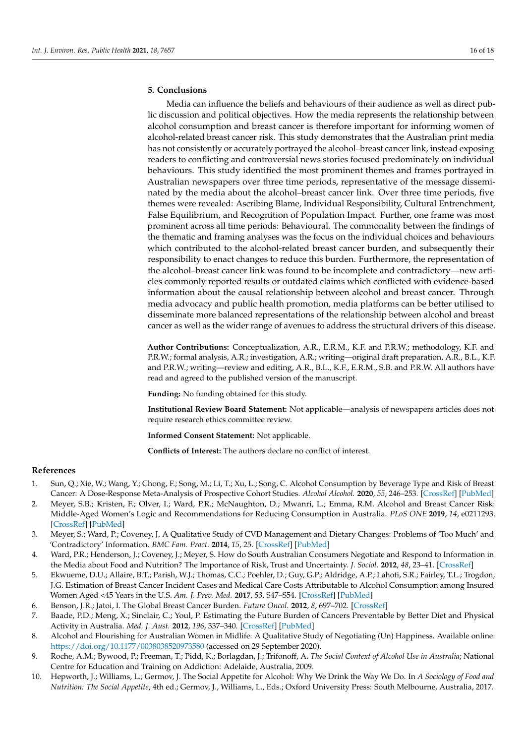## **5. Conclusions**

Media can influence the beliefs and behaviours of their audience as well as direct public discussion and political objectives. How the media represents the relationship between alcohol consumption and breast cancer is therefore important for informing women of alcohol-related breast cancer risk. This study demonstrates that the Australian print media has not consistently or accurately portrayed the alcohol–breast cancer link, instead exposing readers to conflicting and controversial news stories focused predominately on individual behaviours. This study identified the most prominent themes and frames portrayed in Australian newspapers over three time periods, representative of the message disseminated by the media about the alcohol–breast cancer link. Over three time periods, five themes were revealed: Ascribing Blame, Individual Responsibility, Cultural Entrenchment, False Equilibrium, and Recognition of Population Impact. Further, one frame was most prominent across all time periods: Behavioural. The commonality between the findings of the thematic and framing analyses was the focus on the individual choices and behaviours which contributed to the alcohol-related breast cancer burden, and subsequently their responsibility to enact changes to reduce this burden. Furthermore, the representation of the alcohol–breast cancer link was found to be incomplete and contradictory—new articles commonly reported results or outdated claims which conflicted with evidence-based information about the causal relationship between alcohol and breast cancer. Through media advocacy and public health promotion, media platforms can be better utilised to disseminate more balanced representations of the relationship between alcohol and breast cancer as well as the wider range of avenues to address the structural drivers of this disease.

**Author Contributions:** Conceptualization, A.R., E.R.M., K.F. and P.R.W.; methodology, K.F. and P.R.W.; formal analysis, A.R.; investigation, A.R.; writing—original draft preparation, A.R., B.L., K.F. and P.R.W.; writing—review and editing, A.R., B.L., K.F., E.R.M., S.B. and P.R.W. All authors have read and agreed to the published version of the manuscript.

**Funding:** No funding obtained for this study.

**Institutional Review Board Statement:** Not applicable—analysis of newspapers articles does not require research ethics committee review.

**Informed Consent Statement:** Not applicable.

**Conflicts of Interest:** The authors declare no conflict of interest.

## **References**

- <span id="page-15-0"></span>1. Sun, Q.; Xie, W.; Wang, Y.; Chong, F.; Song, M.; Li, T.; Xu, L.; Song, C. Alcohol Consumption by Beverage Type and Risk of Breast Cancer: A Dose-Response Meta-Analysis of Prospective Cohort Studies. *Alcohol Alcohol.* **2020**, *55*, 246–253. [\[CrossRef\]](http://doi.org/10.1093/alcalc/agaa012) [\[PubMed\]](http://www.ncbi.nlm.nih.gov/pubmed/32090238)
- <span id="page-15-1"></span>2. Meyer, S.B.; Kristen, F.; Olver, I.; Ward, P.R.; McNaughton, D.; Mwanri, L.; Emma, R.M. Alcohol and Breast Cancer Risk: Middle-Aged Women's Logic and Recommendations for Reducing Consumption in Australia. *PLoS ONE* **2019**, *14*, e0211293. [\[CrossRef\]](http://doi.org/10.1371/journal.pone.0211293) [\[PubMed\]](http://www.ncbi.nlm.nih.gov/pubmed/30759125)
- <span id="page-15-2"></span>3. Meyer, S.; Ward, P.; Coveney, J. A Qualitative Study of CVD Management and Dietary Changes: Problems of 'Too Much' and 'Contradictory' Information. *BMC Fam. Pract.* **2014**, *15*, 25. [\[CrossRef\]](http://doi.org/10.1186/1471-2296-15-25) [\[PubMed\]](http://www.ncbi.nlm.nih.gov/pubmed/24495674)
- <span id="page-15-3"></span>4. Ward, P.R.; Henderson, J.; Coveney, J.; Meyer, S. How do South Australian Consumers Negotiate and Respond to Information in the Media about Food and Nutrition? The Importance of Risk, Trust and Uncertainty. *J. Sociol.* **2012**, *48*, 23–41. [\[CrossRef\]](http://doi.org/10.1177/1440783311407947)
- <span id="page-15-4"></span>5. Ekwueme, D.U.; Allaire, B.T.; Parish, W.J.; Thomas, C.C.; Poehler, D.; Guy, G.P.; Aldridge, A.P.; Lahoti, S.R.; Fairley, T.L.; Trogdon, J.G. Estimation of Breast Cancer Incident Cases and Medical Care Costs Attributable to Alcohol Consumption among Insured Women Aged <45 Years in the U.S. *Am. J. Prev. Med.* **2017**, *53*, S47–S54. [\[CrossRef\]](http://doi.org/10.1016/j.amepre.2017.05.023) [\[PubMed\]](http://www.ncbi.nlm.nih.gov/pubmed/28818245)
- <span id="page-15-5"></span>6. Benson, J.R.; Jatoi, I. The Global Breast Cancer Burden. *Future Oncol.* **2012**, *8*, 697–702. [\[CrossRef\]](http://doi.org/10.2217/fon.12.61)
- <span id="page-15-6"></span>7. Baade, P.D.; Meng, X.; Sinclair, C.; Youl, P. Estimating the Future Burden of Cancers Preventable by Better Diet and Physical Activity in Australia. *Med. J. Aust.* **2012**, *196*, 337–340. [\[CrossRef\]](http://doi.org/10.5694/mja11.11082) [\[PubMed\]](http://www.ncbi.nlm.nih.gov/pubmed/22432673)
- <span id="page-15-7"></span>8. Alcohol and Flourishing for Australian Women in Midlife: A Qualitative Study of Negotiating (Un) Happiness. Available online: <https://doi.org/10.1177/0038038520973580> (accessed on 29 September 2020).
- <span id="page-15-8"></span>9. Roche, A.M.; Bywood, P.; Freeman, T.; Pidd, K.; Borlagdan, J.; Trifonoff, A. *The Social Context of Alcohol Use in Australia*; National Centre for Education and Training on Addiction: Adelaide, Australia, 2009.
- <span id="page-15-9"></span>10. Hepworth, J.; Williams, L.; Germov, J. The Social Appetite for Alcohol: Why We Drink the Way We Do. In *A Sociology of Food and Nutrition: The Social Appetite*, 4th ed.; Germov, J., Williams, L., Eds.; Oxford University Press: South Melbourne, Australia, 2017.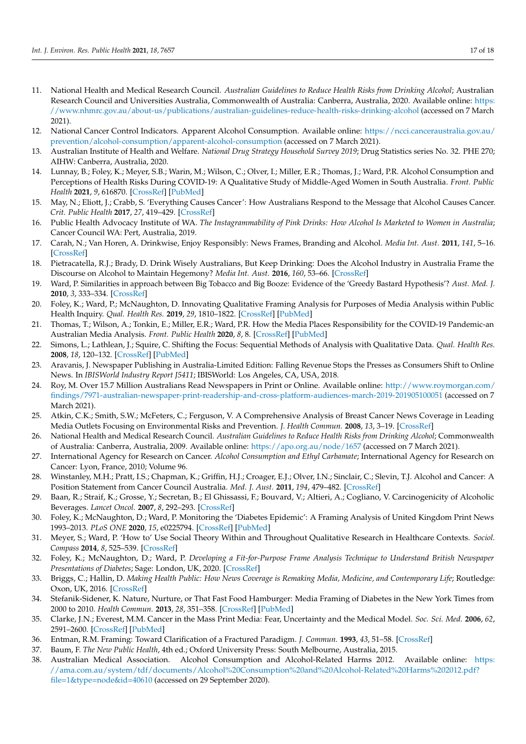- <span id="page-16-0"></span>11. National Health and Medical Research Council. *Australian Guidelines to Reduce Health Risks from Drinking Alcohol*; Australian Research Council and Universities Australia, Commonwealth of Australia: Canberra, Australia, 2020. Available online: [https:](https://www.nhmrc.gov.au/about-us/publications/australian-guidelines-reduce-health-risks-drinking-alcohol) [//www.nhmrc.gov.au/about-us/publications/australian-guidelines-reduce-health-risks-drinking-alcohol](https://www.nhmrc.gov.au/about-us/publications/australian-guidelines-reduce-health-risks-drinking-alcohol) (accessed on 7 March 2021).
- <span id="page-16-1"></span>12. National Cancer Control Indicators. Apparent Alcohol Consumption. Available online: [https://ncci.canceraustralia.gov.au/](https://ncci.canceraustralia.gov.au/prevention/alcohol-consumption/apparent-alcohol-consumption) [prevention/alcohol-consumption/apparent-alcohol-consumption](https://ncci.canceraustralia.gov.au/prevention/alcohol-consumption/apparent-alcohol-consumption) (accessed on 7 March 2021).
- <span id="page-16-2"></span>13. Australian Institute of Health and Welfare. *National Drug Strategy Household Survey 2019*; Drug Statistics series No. 32. PHE 270; AIHW: Canberra, Australia, 2020.
- <span id="page-16-3"></span>14. Lunnay, B.; Foley, K.; Meyer, S.B.; Warin, M.; Wilson, C.; Olver, I.; Miller, E.R.; Thomas, J.; Ward, P.R. Alcohol Consumption and Perceptions of Health Risks During COVID-19: A Qualitative Study of Middle-Aged Women in South Australia. *Front. Public Health* **2021**, *9*, 616870. [\[CrossRef\]](http://doi.org/10.3389/fpubh.2021.616870) [\[PubMed\]](http://www.ncbi.nlm.nih.gov/pubmed/33981661)
- <span id="page-16-4"></span>15. May, N.; Eliott, J.; Crabb, S. 'Everything Causes Cancer': How Australians Respond to the Message that Alcohol Causes Cancer. *Crit. Public Health* **2017**, *27*, 419–429. [\[CrossRef\]](http://doi.org/10.1080/09581596.2016.1235260)
- <span id="page-16-5"></span>16. Public Health Advocacy Institute of WA. *The Instagrammability of Pink Drinks: How Alcohol Is Marketed to Women in Australia*; Cancer Council WA: Pert, Australia, 2019.
- <span id="page-16-6"></span>17. Carah, N.; Van Horen, A. Drinkwise, Enjoy Responsibly: News Frames, Branding and Alcohol. *Media Int. Aust.* **2011**, *141*, 5–16. [\[CrossRef\]](http://doi.org/10.1177/1329878X1114100103)
- <span id="page-16-7"></span>18. Pietracatella, R.J.; Brady, D. Drink Wisely Australians, But Keep Drinking: Does the Alcohol Industry in Australia Frame the Discourse on Alcohol to Maintain Hegemony? *Media Int. Aust.* **2016**, *160*, 53–66. [\[CrossRef\]](http://doi.org/10.1177/1329878X16651136)
- <span id="page-16-8"></span>19. Ward, P. Similarities in approach between Big Tobacco and Big Booze: Evidence of the 'Greedy Bastard Hypothesis'? *Aust. Med. J.* **2010**, *3*, 333–334. [\[CrossRef\]](http://doi.org/10.4066/AMJ.2010.381)
- <span id="page-16-9"></span>20. Foley, K.; Ward, P.; McNaughton, D. Innovating Qualitative Framing Analysis for Purposes of Media Analysis within Public Health Inquiry. *Qual. Health Res.* **2019**, *29*, 1810–1822. [\[CrossRef\]](http://doi.org/10.1177/1049732319826559) [\[PubMed\]](http://www.ncbi.nlm.nih.gov/pubmed/30741096)
- <span id="page-16-10"></span>21. Thomas, T.; Wilson, A.; Tonkin, E.; Miller, E.R.; Ward, P.R. How the Media Places Responsibility for the COVID-19 Pandemic-an Australian Media Analysis. *Front. Public Health* **2020**, *8*, 8. [\[CrossRef\]](http://doi.org/10.3389/fpubh.2020.00483) [\[PubMed\]](http://www.ncbi.nlm.nih.gov/pubmed/32974266)
- <span id="page-16-11"></span>22. Simons, L.; Lathlean, J.; Squire, C. Shifting the Focus: Sequential Methods of Analysis with Qualitative Data. *Qual. Health Res.* **2008**, *18*, 120–132. [\[CrossRef\]](http://doi.org/10.1177/1049732307310264) [\[PubMed\]](http://www.ncbi.nlm.nih.gov/pubmed/18174540)
- <span id="page-16-12"></span>23. Aravanis, J. Newspaper Publishing in Australia-Limited Edition: Falling Revenue Stops the Presses as Consumers Shift to Online News. In *IBISWorld Industry Report J5411*; IBISWorld: Los Angeles, CA, USA, 2018.
- <span id="page-16-13"></span>24. Roy, M. Over 15.7 Million Australians Read Newspapers in Print or Online. Available online: [http://www.roymorgan.com/](http://www.roymorgan.com/findings/7971-australian-newspaper-print-readership-and-cross-platform-audiences-march-2019-201905100051) [findings/7971-australian-newspaper-print-readership-and-cross-platform-audiences-march-2019-201905100051](http://www.roymorgan.com/findings/7971-australian-newspaper-print-readership-and-cross-platform-audiences-march-2019-201905100051) (accessed on 7 March 2021).
- <span id="page-16-14"></span>25. Atkin, C.K.; Smith, S.W.; McFeters, C.; Ferguson, V. A Comprehensive Analysis of Breast Cancer News Coverage in Leading Media Outlets Focusing on Environmental Risks and Prevention. *J. Health Commun.* **2008**, *13*, 3–19. [\[CrossRef\]](http://doi.org/10.1080/10810730701806912)
- <span id="page-16-15"></span>26. National Health and Medical Research Council. *Australian Guidelines to Reduce Health Risks from Drinking Alcohol*; Commonwealth of Australia: Canberra, Australia, 2009. Available online: <https://apo.org.au/node/1657> (accessed on 7 March 2021).
- <span id="page-16-16"></span>27. International Agency for Research on Cancer. *Alcohol Consumption and Ethyl Carbamate*; International Agency for Research on Cancer: Lyon, France, 2010; Volume 96.
- <span id="page-16-17"></span>28. Winstanley, M.H.; Pratt, I.S.; Chapman, K.; Griffin, H.J.; Croager, E.J.; Olver, I.N.; Sinclair, C.; Slevin, T.J. Alcohol and Cancer: A Position Statement from Cancer Council Australia. *Med. J. Aust.* **2011**, *194*, 479–482. [\[CrossRef\]](http://doi.org/10.5694/j.1326-5377.2011.tb03067.x)
- <span id="page-16-18"></span>29. Baan, R.; Straif, K.; Grosse, Y.; Secretan, B.; El Ghissassi, F.; Bouvard, V.; Altieri, A.; Cogliano, V. Carcinogenicity of Alcoholic Beverages. *Lancet Oncol.* **2007**, *8*, 292–293. [\[CrossRef\]](http://doi.org/10.1016/S1470-2045(07)70099-2)
- <span id="page-16-19"></span>30. Foley, K.; McNaughton, D.; Ward, P. Monitoring the 'Diabetes Epidemic': A Framing Analysis of United Kingdom Print News 1993–2013. *PLoS ONE* **2020**, *15*, e0225794. [\[CrossRef\]](http://doi.org/10.1371/journal.pone.0225794) [\[PubMed\]](http://www.ncbi.nlm.nih.gov/pubmed/31951616)
- <span id="page-16-20"></span>31. Meyer, S.; Ward, P. 'How to' Use Social Theory Within and Throughout Qualitative Research in Healthcare Contexts. *Sociol. Compass* **2014**, *8*, 525–539. [\[CrossRef\]](http://doi.org/10.1111/soc4.12155)
- <span id="page-16-21"></span>32. Foley, K.; McNaughton, D.; Ward, P. *Developing a Fit-for-Purpose Frame Analysis Technique to Understand British Newspaper Presentations of Diabetes*; Sage: London, UK, 2020. [\[CrossRef\]](http://doi.org/10.4135/9781529735727)
- <span id="page-16-22"></span>33. Briggs, C.; Hallin, D. *Making Health Public: How News Coverage is Remaking Media, Medicine, and Contemporary Life*; Routledge: Oxon, UK, 2016. [\[CrossRef\]](http://doi.org/10.4324/9781315658049)
- <span id="page-16-25"></span>34. Stefanik-Sidener, K. Nature, Nurture, or That Fast Food Hamburger: Media Framing of Diabetes in the New York Times from 2000 to 2010. *Health Commun.* **2013**, *28*, 351–358. [\[CrossRef\]](http://doi.org/10.1080/10410236.2012.688187) [\[PubMed\]](http://www.ncbi.nlm.nih.gov/pubmed/22746222)
- <span id="page-16-23"></span>35. Clarke, J.N.; Everest, M.M. Cancer in the Mass Print Media: Fear, Uncertainty and the Medical Model. *Soc. Sci. Med.* **2006**, *62*, 2591–2600. [\[CrossRef\]](http://doi.org/10.1016/j.socscimed.2005.11.021) [\[PubMed\]](http://www.ncbi.nlm.nih.gov/pubmed/16431004)
- <span id="page-16-24"></span>36. Entman, R.M. Framing: Toward Clarification of a Fractured Paradigm. *J. Commun.* **1993**, *43*, 51–58. [\[CrossRef\]](http://doi.org/10.1111/j.1460-2466.1993.tb01304.x)
- <span id="page-16-26"></span>37. Baum, F. *The New Public Health*, 4th ed.; Oxford University Press: South Melbourne, Australia, 2015.
- <span id="page-16-27"></span>38. Australian Medical Association. Alcohol Consumption and Alcohol-Related Harms 2012. Available online: [https:](https://ama.com.au/system/tdf/documents/Alcohol%20Consumption%20and%20Alcohol-Related%20Harms%202012.pdf?file=1&type=node&id=40610) [//ama.com.au/system/tdf/documents/Alcohol%20Consumption%20and%20Alcohol-Related%20Harms%202012.pdf?](https://ama.com.au/system/tdf/documents/Alcohol%20Consumption%20and%20Alcohol-Related%20Harms%202012.pdf?file=1&type=node&id=40610) [file=1&type=node&id=40610](https://ama.com.au/system/tdf/documents/Alcohol%20Consumption%20and%20Alcohol-Related%20Harms%202012.pdf?file=1&type=node&id=40610) (accessed on 29 September 2020).